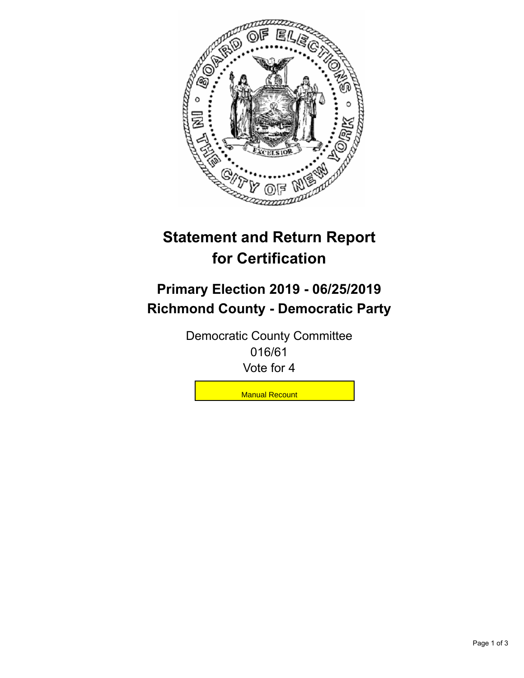

## **Statement and Return Report for Certification**

## **Primary Election 2019 - 06/25/2019 Richmond County - Democratic Party**

Democratic County Committee 016/61 Vote for 4

**Manual Recount**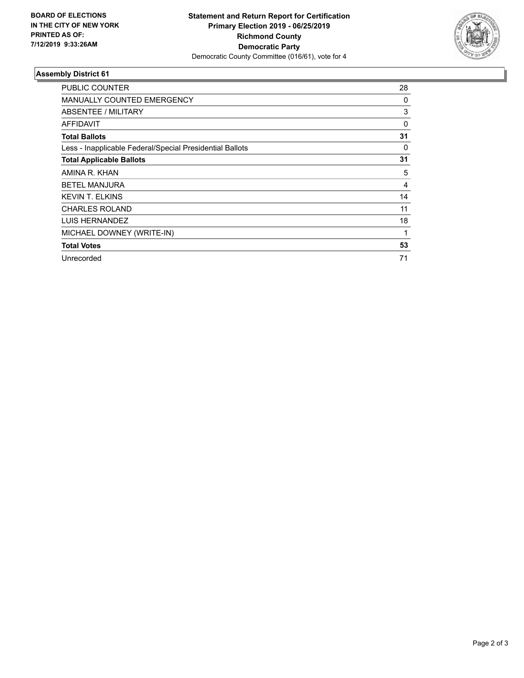

## **Assembly District 61**

| <b>PUBLIC COUNTER</b>                                    | 28 |
|----------------------------------------------------------|----|
| <b>MANUALLY COUNTED EMERGENCY</b>                        | 0  |
| ABSENTEE / MILITARY                                      | 3  |
| AFFIDAVIT                                                | 0  |
| <b>Total Ballots</b>                                     | 31 |
| Less - Inapplicable Federal/Special Presidential Ballots | 0  |
| <b>Total Applicable Ballots</b>                          | 31 |
| AMINA R. KHAN                                            | 5  |
| <b>BETEL MANJURA</b>                                     | 4  |
| <b>KEVIN T. ELKINS</b>                                   | 14 |
| <b>CHARLES ROLAND</b>                                    | 11 |
| LUIS HERNANDEZ                                           | 18 |
| MICHAEL DOWNEY (WRITE-IN)                                | 1  |
| <b>Total Votes</b>                                       | 53 |
| Unrecorded                                               | 71 |